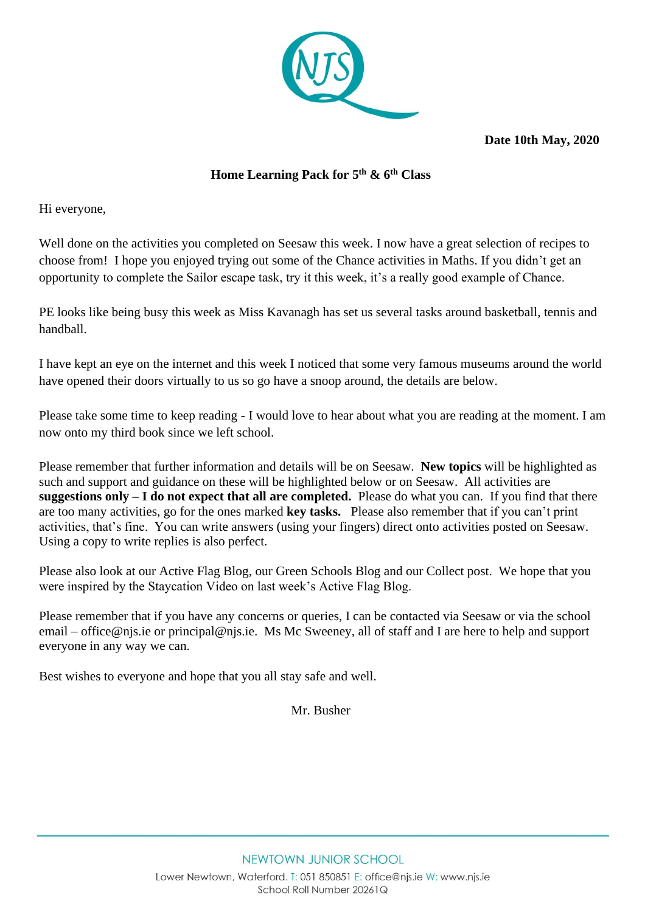

**Date 10th May, 2020** 

# **Home Learning Pack for 5 th & 6th Class**

Hi everyone,

Well done on the activities you completed on Seesaw this week. I now have a great selection of recipes to choose from! I hope you enjoyed trying out some of the Chance activities in Maths. If you didn't get an opportunity to complete the Sailor escape task, try it this week, it's a really good example of Chance.

PE looks like being busy this week as Miss Kavanagh has set us several tasks around basketball, tennis and handball.

I have kept an eye on the internet and this week I noticed that some very famous museums around the world have opened their doors virtually to us so go have a snoop around, the details are below.

Please take some time to keep reading - I would love to hear about what you are reading at the moment. I am now onto my third book since we left school.

Please remember that further information and details will be on Seesaw. **New topics** will be highlighted as such and support and guidance on these will be highlighted below or on Seesaw. All activities are **suggestions only – I do not expect that all are completed.** Please do what you can. If you find that there are too many activities, go for the ones marked **key tasks.** Please also remember that if you can't print activities, that's fine. You can write answers (using your fingers) direct onto activities posted on Seesaw. Using a copy to write replies is also perfect.

Please also look at our Active Flag Blog, our Green Schools Blog and our Collect post. We hope that you were inspired by the Staycation Video on last week's Active Flag Blog.

Please remember that if you have any concerns or queries, I can be contacted via Seesaw or via the school email – [office@njs.ie](mailto:office@njs.ie) or [principal@njs.ie.](mailto:principal@njs.ie) Ms Mc Sweeney, all of staff and I are here to help and support everyone in any way we can.

Best wishes to everyone and hope that you all stay safe and well.

Mr. Busher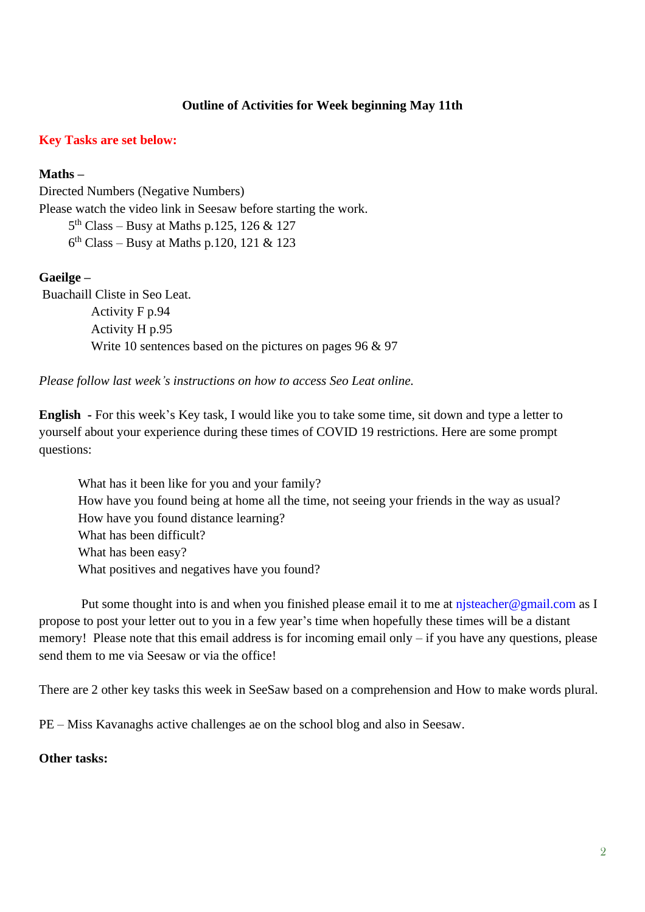## **Outline of Activities for Week beginning May 11th**

### **Key Tasks are set below:**

#### **Maths –**

Directed Numbers (Negative Numbers) Please watch the video link in Seesaw before starting the work. 5 th Class – Busy at Maths p.125, 126 & 127

6 th Class – Busy at Maths p.120, 121 & 123

#### **Gaeilge –**

Buachaill Cliste in Seo Leat.

 Activity F p.94 Activity H p.95 Write 10 sentences based on the pictures on pages 96 & 97

*Please follow last week's instructions on how to access Seo Leat online.*

**English -** For this week's Key task, I would like you to take some time, sit down and type a letter to yourself about your experience during these times of COVID 19 restrictions. Here are some prompt questions:

What has it been like for you and your family? How have you found being at home all the time, not seeing your friends in the way as usual? How have you found distance learning? What has been difficult? What has been easy? What positives and negatives have you found?

Put some thought into is and when you finished please email it to me at [njsteacher@gmail.com](mailto:njsteacher@gmail.com) as I propose to post your letter out to you in a few year's time when hopefully these times will be a distant memory! Please note that this email address is for incoming email only – if you have any questions, please send them to me via Seesaw or via the office!

There are 2 other key tasks this week in SeeSaw based on a comprehension and How to make words plural.

PE – Miss Kavanaghs active challenges ae on the school blog and also in Seesaw.

### **Other tasks:**